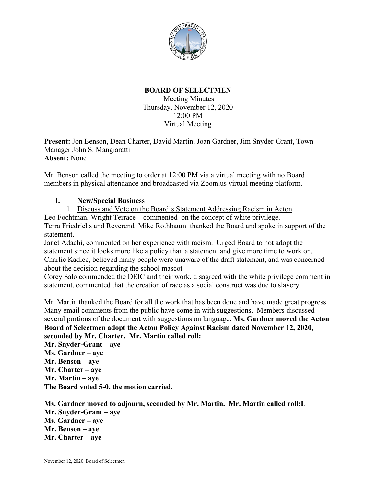

## **BOARD OF SELECTMEN** Meeting Minutes Thursday, November 12, 2020 12:00 PM Virtual Meeting

**Present:** Jon Benson, Dean Charter, David Martin, Joan Gardner, Jim Snyder-Grant, Town Manager John S. Mangiaratti **Absent:** None

Mr. Benson called the meeting to order at 12:00 PM via a virtual meeting with no Board members in physical attendance and broadcasted via Zoom.us virtual meeting platform.

## **I. New/Special Business**

1. Discuss and Vote on the Board's Statement Addressing Racism in Acton Leo Fochtman, Wright Terrace – commented on the concept of white privilege. Terra Friedrichs and Reverend Mike Rothbaum thanked the Board and spoke in support of the statement.

Janet Adachi, commented on her experience with racism. Urged Board to not adopt the statement since it looks more like a policy than a statement and give more time to work on. Charlie Kadlec, believed many people were unaware of the draft statement, and was concerned about the decision regarding the school mascot

Corey Salo commended the DEIC and their work, disagreed with the white privilege comment in statement, commented that the creation of race as a social construct was due to slavery.

Mr. Martin thanked the Board for all the work that has been done and have made great progress. Many email comments from the public have come in with suggestions. Members discussed several portions of the document with suggestions on language. **Ms. Gardner moved the Acton Board of Selectmen adopt the Acton Policy Against Racism dated November 12, 2020, seconded by Mr. Charter. Mr. Martin called roll:**

**Mr. Snyder-Grant – aye Ms. Gardner – aye Mr. Benson – aye Mr. Charter – aye Mr. Martin – aye The Board voted 5-0, the motion carried.**

**Ms. Gardner moved to adjourn, seconded by Mr. Martin. Mr. Martin called roll:L Mr. Snyder-Grant – aye Ms. Gardner – aye Mr. Benson – aye Mr. Charter – aye**